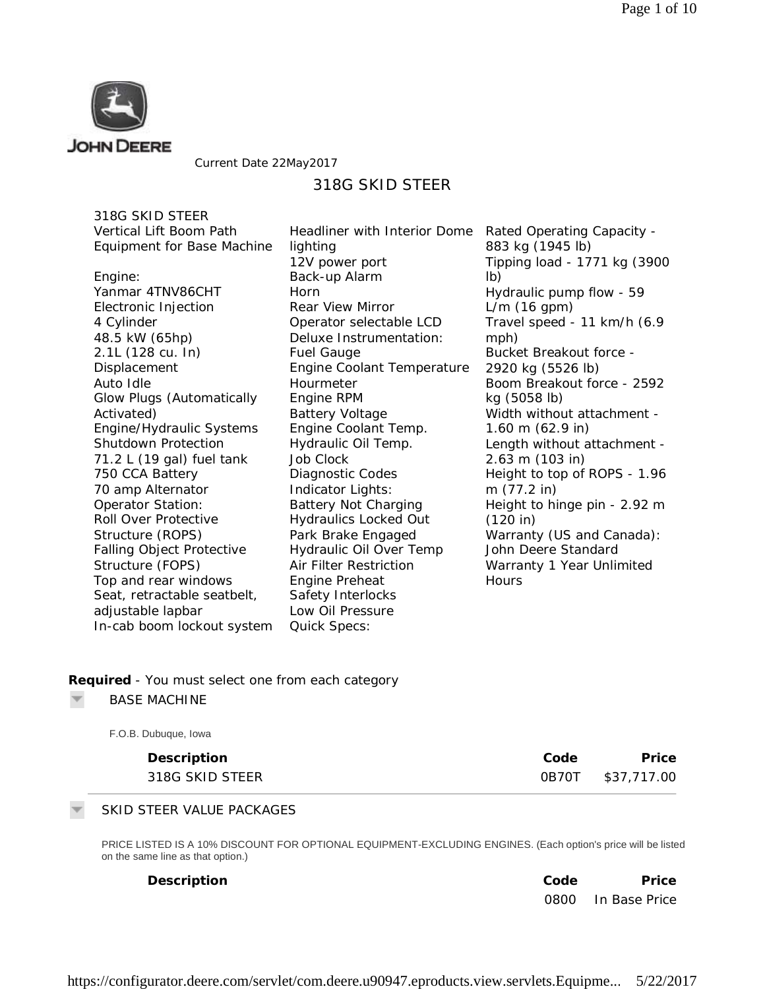

Current Date 22May2017

# 318G SKID STEER

318G SKID STEER Vertical Lift Boom Path Equipment for Base Machine

Engine: Yanmar 4TNV86CHT Electronic Injection 4 Cylinder 48.5 kW (65hp) 2.1L (128 cu. In) **Displacement** Auto Idle Glow Plugs (Automatically Activated) Engine/Hydraulic Systems Shutdown Protection 71.2 L (19 gal) fuel tank 750 CCA Battery 70 amp Alternator Operator Station: Roll Over Protective Structure (ROPS) Falling Object Protective Structure (FOPS) Top and rear windows Seat, retractable seatbelt, adjustable lapbar In-cab boom lockout system

Headliner with Interior Dome Rated Operating Capacity lighting 12V power port Back-up Alarm Horn Rear View Mirror Operator selectable LCD Deluxe Instrumentation: Fuel Gauge Engine Coolant Temperature Hourmeter Engine RPM Battery Voltage Engine Coolant Temp. Hydraulic Oil Temp. Job Clock Diagnostic Codes Indicator Lights: Battery Not Charging Hydraulics Locked Out Park Brake Engaged Hydraulic Oil Over Temp Air Filter Restriction Engine Preheat Safety Interlocks Low Oil Pressure Quick Specs:

883 kg (1945 lb) Tipping load - 1771 kg (3900 lb) Hydraulic pump flow - 59 L/m (16 gpm) Travel speed - 11 km/h (6.9 mph) Bucket Breakout force - 2920 kg (5526 lb) Boom Breakout force - 2592 kg (5058 lb) Width without attachment - 1.60 m (62.9 in) Length without attachment - 2.63 m (103 in) Height to top of ROPS - 1.96 m (77.2 in) Height to hinge pin - 2.92 m (120 in) Warranty (US and Canada): John Deere Standard Warranty 1 Year Unlimited **Hours** 

### **Required** *- You must select one from each category*

BASE MACHINE

| F.O.B. Dubuque, Iowa |      |                   |
|----------------------|------|-------------------|
| Description          | Code | Price             |
| 318G SKID STEER      |      | 0B70T \$37,717.00 |

### SKID STEER VALUE PACKAGES

PRICE LISTED IS A 10% DISCOUNT FOR OPTIONAL EQUIPMENT-EXCLUDING ENGINES. (Each option's price will be listed on the same line as that option.)

| Description | Code | Price              |
|-------------|------|--------------------|
|             |      | 0800 In Base Price |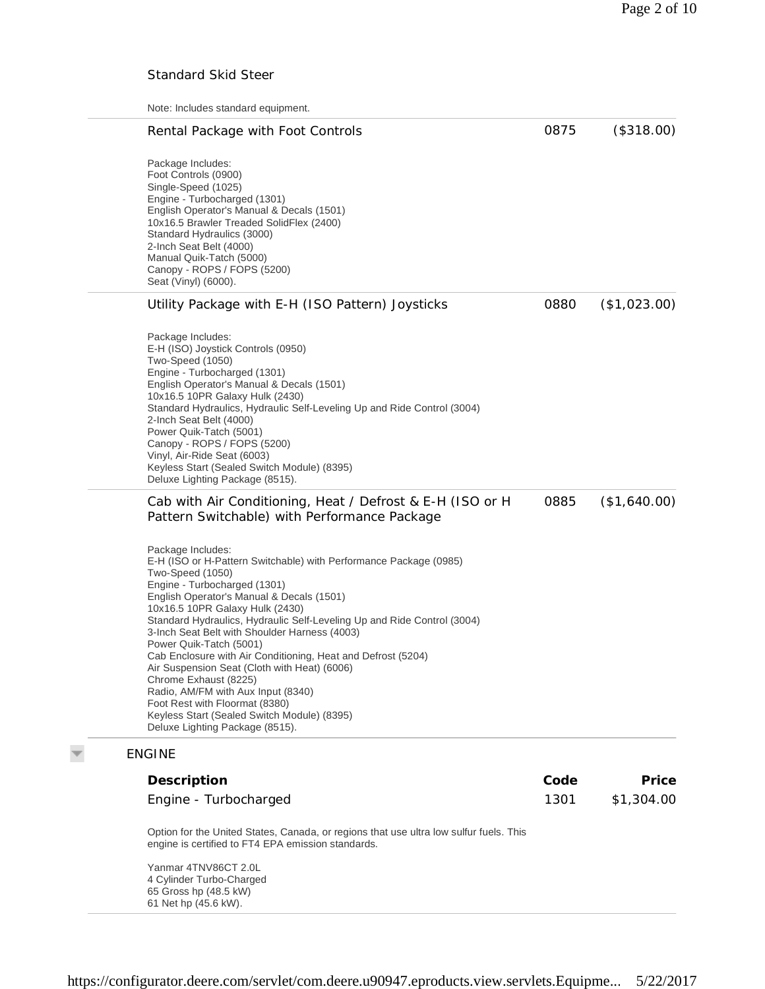# Standard Skid Steer

Note: Includes standard equipment.

| Rental Package with Foot Controls                                                                                                                                                                                                                                                                                                                                                                                                                                                                                                                                                                                                                                                    |                                                                                        | 0875 | (\$318.00)   |
|--------------------------------------------------------------------------------------------------------------------------------------------------------------------------------------------------------------------------------------------------------------------------------------------------------------------------------------------------------------------------------------------------------------------------------------------------------------------------------------------------------------------------------------------------------------------------------------------------------------------------------------------------------------------------------------|----------------------------------------------------------------------------------------|------|--------------|
| Package Includes:<br>Foot Controls (0900)<br>Single-Speed (1025)<br>Engine - Turbocharged (1301)<br>English Operator's Manual & Decals (1501)<br>10x16.5 Brawler Treaded SolidFlex (2400)<br>Standard Hydraulics (3000)<br>2-Inch Seat Belt (4000)<br>Manual Quik-Tatch (5000)<br>Canopy - ROPS / FOPS (5200)<br>Seat (Vinyl) (6000).                                                                                                                                                                                                                                                                                                                                                |                                                                                        |      |              |
| Utility Package with E-H (ISO Pattern) Joysticks                                                                                                                                                                                                                                                                                                                                                                                                                                                                                                                                                                                                                                     |                                                                                        | 0880 | (\$1,023.00) |
| Package Includes:<br>E-H (ISO) Joystick Controls (0950)<br>Two-Speed (1050)<br>Engine - Turbocharged (1301)<br>English Operator's Manual & Decals (1501)<br>10x16.5 10PR Galaxy Hulk (2430)<br>Standard Hydraulics, Hydraulic Self-Leveling Up and Ride Control (3004)<br>2-Inch Seat Belt (4000)<br>Power Quik-Tatch (5001)<br>Canopy - ROPS / FOPS (5200)<br>Vinyl, Air-Ride Seat (6003)<br>Keyless Start (Sealed Switch Module) (8395)<br>Deluxe Lighting Package (8515).                                                                                                                                                                                                         |                                                                                        |      |              |
| Pattern Switchable) with Performance Package                                                                                                                                                                                                                                                                                                                                                                                                                                                                                                                                                                                                                                         | Cab with Air Conditioning, Heat / Defrost & E-H (ISO or H                              | 0885 | (\$1,640.00) |
| Package Includes:<br>E-H (ISO or H-Pattern Switchable) with Performance Package (0985)<br>Two-Speed (1050)<br>Engine - Turbocharged (1301)<br>English Operator's Manual & Decals (1501)<br>10x16.5 10PR Galaxy Hulk (2430)<br>Standard Hydraulics, Hydraulic Self-Leveling Up and Ride Control (3004)<br>3-Inch Seat Belt with Shoulder Harness (4003)<br>Power Quik-Tatch (5001)<br>Cab Enclosure with Air Conditioning, Heat and Defrost (5204)<br>Air Suspension Seat (Cloth with Heat) (6006)<br>Chrome Exhaust (8225)<br>Radio, AM/FM with Aux Input (8340)<br>Foot Rest with Floormat (8380)<br>Keyless Start (Sealed Switch Module) (8395)<br>Deluxe Lighting Package (8515). |                                                                                        |      |              |
| <b>ENGINE</b>                                                                                                                                                                                                                                                                                                                                                                                                                                                                                                                                                                                                                                                                        |                                                                                        |      |              |
| Description                                                                                                                                                                                                                                                                                                                                                                                                                                                                                                                                                                                                                                                                          |                                                                                        | Code | Price        |
| Engine - Turbocharged                                                                                                                                                                                                                                                                                                                                                                                                                                                                                                                                                                                                                                                                |                                                                                        | 1301 | \$1,304.00   |
|                                                                                                                                                                                                                                                                                                                                                                                                                                                                                                                                                                                                                                                                                      | Option for the United States, Canada, or regions that use ultra low sulfur fuels. This |      |              |

engine is certified to FT4 EPA emission standards.

Yanmar 4TNV86CT 2.0L 4 Cylinder Turbo-Charged 65 Gross hp (48.5 kW) 61 Net hp (45.6 kW).

 $\overline{\nabla}$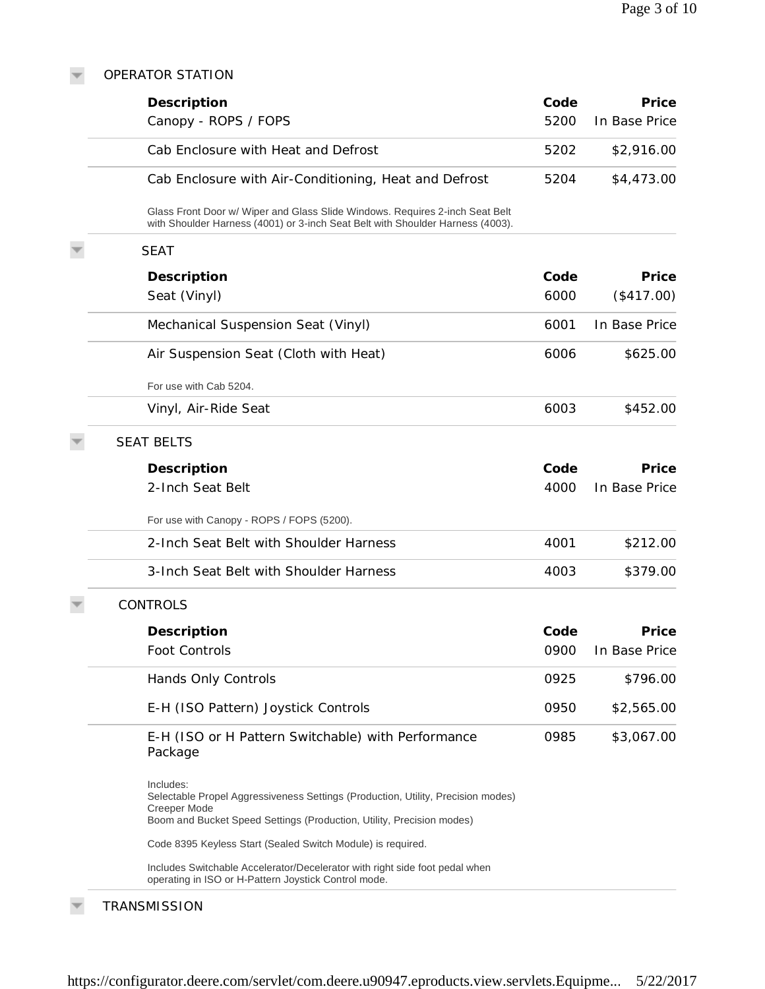#### OPERATOR STATION

 $\overline{\nabla}$ 

| Description                                                                                                                                                                            | Code | Price         |
|----------------------------------------------------------------------------------------------------------------------------------------------------------------------------------------|------|---------------|
| Canopy - ROPS / FOPS                                                                                                                                                                   | 5200 | In Base Price |
| Cab Enclosure with Heat and Defrost                                                                                                                                                    | 5202 | \$2,916.00    |
| Cab Enclosure with Air-Conditioning, Heat and Defrost                                                                                                                                  | 5204 | \$4,473.00    |
| Glass Front Door w/ Wiper and Glass Slide Windows. Requires 2-inch Seat Belt<br>with Shoulder Harness (4001) or 3-inch Seat Belt with Shoulder Harness (4003).                         |      |               |
| <b>SEAT</b>                                                                                                                                                                            |      |               |
| Description                                                                                                                                                                            | Code | Price         |
| Seat (Vinyl)                                                                                                                                                                           | 6000 | (\$417.00)    |
| Mechanical Suspension Seat (Vinyl)                                                                                                                                                     | 6001 | In Base Price |
| Air Suspension Seat (Cloth with Heat)                                                                                                                                                  | 6006 | \$625.00      |
| For use with Cab 5204.                                                                                                                                                                 |      |               |
| Vinyl, Air-Ride Seat                                                                                                                                                                   | 6003 | \$452.00      |
| <b>SEAT BELTS</b>                                                                                                                                                                      |      |               |
| Description                                                                                                                                                                            | Code | Price         |
| 2-Inch Seat Belt                                                                                                                                                                       | 4000 | In Base Price |
| For use with Canopy - ROPS / FOPS (5200).                                                                                                                                              |      |               |
| 2-Inch Seat Belt with Shoulder Harness                                                                                                                                                 | 4001 | \$212.00      |
| 3-Inch Seat Belt with Shoulder Harness                                                                                                                                                 | 4003 | \$379.00      |
| <b>CONTROLS</b>                                                                                                                                                                        |      |               |
| Description                                                                                                                                                                            | Code | Price         |
| Foot Controls                                                                                                                                                                          | 0900 | In Base Price |
| Hands Only Controls                                                                                                                                                                    | 0925 | \$796.00      |
| E-H (ISO Pattern) Joystick Controls                                                                                                                                                    | 0950 | \$2,565.00    |
| E-H (ISO or H Pattern Switchable) with Performance<br>Package                                                                                                                          | 0985 | \$3,067.00    |
| Includes:<br>Selectable Propel Aggressiveness Settings (Production, Utility, Precision modes)<br>Creeper Mode<br>Boom and Bucket Speed Settings (Production, Utility, Precision modes) |      |               |
| Code 8395 Keyless Start (Sealed Switch Module) is required.                                                                                                                            |      |               |
| Includes Switchable Accelerator/Decelerator with right side foot pedal when<br>operating in ISO or H-Pattern Joystick Control mode.                                                    |      |               |

# **TRANSMISSION**

 $\overline{\nabla}$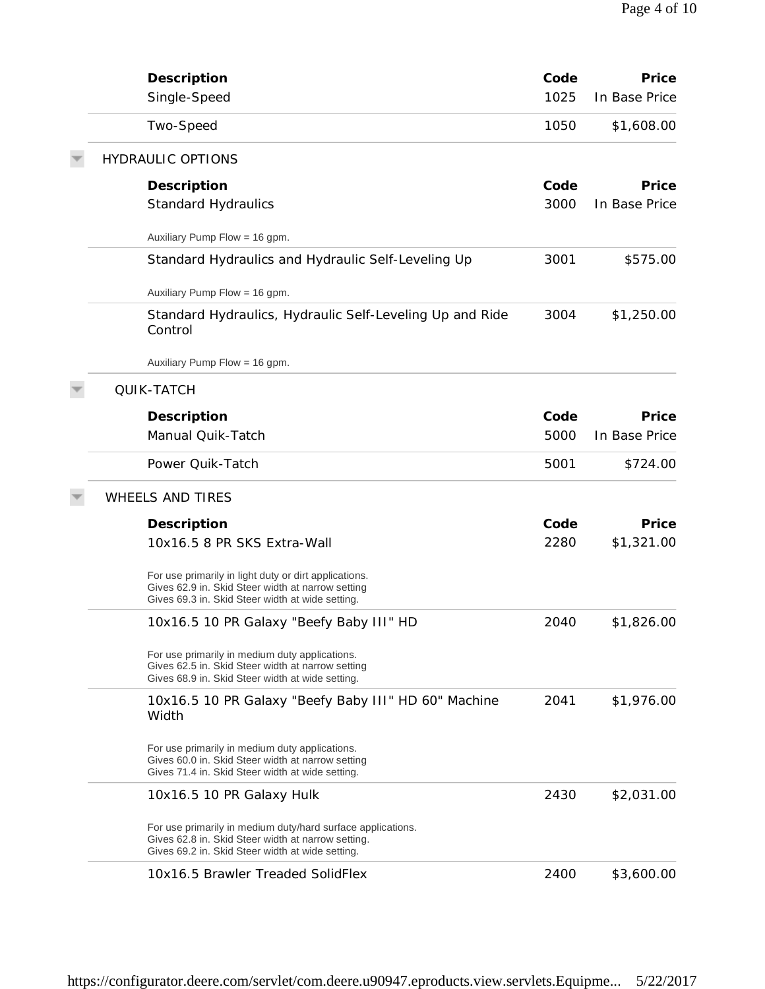| Description                                                                                                                                                           | Code | Price         |
|-----------------------------------------------------------------------------------------------------------------------------------------------------------------------|------|---------------|
| Single-Speed                                                                                                                                                          | 1025 | In Base Price |
| Two-Speed                                                                                                                                                             | 1050 | \$1,608.00    |
| <b>HYDRAULIC OPTIONS</b>                                                                                                                                              |      |               |
| Description                                                                                                                                                           | Code | Price         |
| <b>Standard Hydraulics</b>                                                                                                                                            | 3000 | In Base Price |
| Auxiliary Pump Flow = 16 gpm.                                                                                                                                         |      |               |
| Standard Hydraulics and Hydraulic Self-Leveling Up                                                                                                                    | 3001 | \$575.00      |
| Auxiliary Pump Flow = 16 gpm.                                                                                                                                         |      |               |
| Standard Hydraulics, Hydraulic Self-Leveling Up and Ride<br>Control                                                                                                   | 3004 | \$1,250.00    |
| Auxiliary Pump Flow = 16 gpm.                                                                                                                                         |      |               |
| <b>QUIK-TATCH</b>                                                                                                                                                     |      |               |
| Description                                                                                                                                                           | Code | Price         |
| Manual Quik-Tatch                                                                                                                                                     | 5000 | In Base Price |
| Power Quik-Tatch                                                                                                                                                      | 5001 | \$724.00      |
| <b>WHEELS AND TIRES</b>                                                                                                                                               |      |               |
| Description                                                                                                                                                           | Code | Price         |
| 10x16.5 8 PR SKS Extra-Wall                                                                                                                                           | 2280 | \$1,321.00    |
| For use primarily in light duty or dirt applications.<br>Gives 62.9 in. Skid Steer width at narrow setting<br>Gives 69.3 in. Skid Steer width at wide setting.        |      |               |
| 10x16.5 10 PR Galaxy "Beefy Baby III" HD                                                                                                                              | 2040 | \$1.826.00    |
| For use primarily in medium duty applications.<br>Gives 62.5 in. Skid Steer width at narrow setting<br>Gives 68.9 in. Skid Steer width at wide setting.               |      |               |
| 10x16.5 10 PR Galaxy "Beefy Baby III" HD 60" Machine<br>Width                                                                                                         | 2041 | \$1,976.00    |
| For use primarily in medium duty applications.<br>Gives 60.0 in. Skid Steer width at narrow setting<br>Gives 71.4 in. Skid Steer width at wide setting.               |      |               |
| 10x16.5 10 PR Galaxy Hulk                                                                                                                                             | 2430 | \$2,031.00    |
| For use primarily in medium duty/hard surface applications.<br>Gives 62.8 in. Skid Steer width at narrow setting.<br>Gives 69.2 in. Skid Steer width at wide setting. |      |               |
| 10x16.5 Brawler Treaded SolidFlex                                                                                                                                     | 2400 | \$3,600.00    |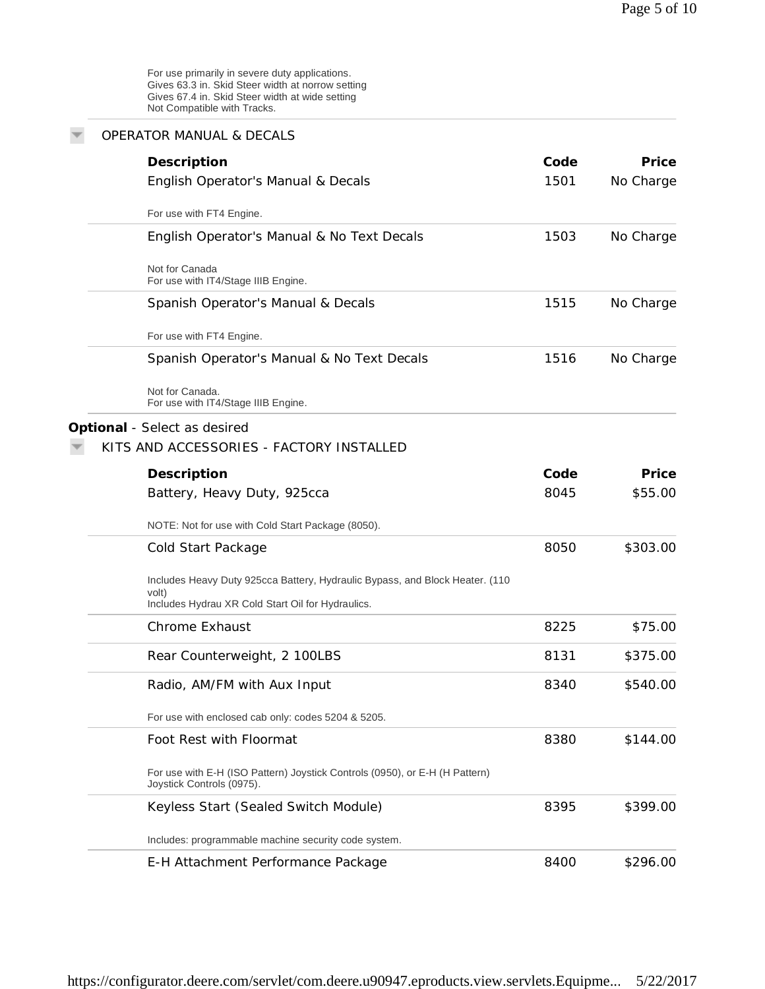For use primarily in severe duty applications. Gives 63.3 in. Skid Steer width at norrow setting Gives 67.4 in. Skid Steer width at wide setting Not Compatible with Tracks.

| <b>OPERATOR MANUAL &amp; DECALS</b>                                                                      |      |           |
|----------------------------------------------------------------------------------------------------------|------|-----------|
| Description                                                                                              | Code | Price     |
| English Operator's Manual & Decals                                                                       | 1501 | No Charge |
| For use with FT4 Engine.                                                                                 |      |           |
| English Operator's Manual & No Text Decals                                                               | 1503 | No Charge |
| Not for Canada<br>For use with IT4/Stage IIIB Engine.                                                    |      |           |
| Spanish Operator's Manual & Decals                                                                       | 1515 | No Charge |
| For use with FT4 Engine.                                                                                 |      |           |
| Spanish Operator's Manual & No Text Decals                                                               | 1516 | No Charge |
| Not for Canada.<br>For use with IT4/Stage IIIB Engine.                                                   |      |           |
| Optional - Select as desired                                                                             |      |           |
| KITS AND ACCESSORIES - FACTORY INSTALLED                                                                 |      |           |
| Description                                                                                              | Code | Price     |
| Battery, Heavy Duty, 925cca                                                                              | 8045 | \$55.00   |
| NOTE: Not for use with Cold Start Package (8050).                                                        |      |           |
| Cold Start Package                                                                                       | 8050 | \$303.00  |
| Includes Heavy Duty 925cca Battery, Hydraulic Bypass, and Block Heater. (110                             |      |           |
| volt)<br>Includes Hydrau XR Cold Start Oil for Hydraulics.                                               |      |           |
| Chrome Exhaust                                                                                           | 8225 | \$75.00   |
| Rear Counterweight, 2 100LBS                                                                             | 8131 | \$375.00  |
| Radio, AM/FM with Aux Input                                                                              | 8340 | \$540.00  |
| For use with enclosed cab only: codes 5204 & 5205.                                                       |      |           |
| Foot Rest with Floormat                                                                                  | 8380 | \$144.00  |
| For use with E-H (ISO Pattern) Joystick Controls (0950), or E-H (H Pattern)<br>Joystick Controls (0975). |      |           |
| Keyless Start (Sealed Switch Module)                                                                     | 8395 | \$399.00  |
| Includes: programmable machine security code system.                                                     |      |           |
| E-H Attachment Performance Package                                                                       | 8400 | \$296.00  |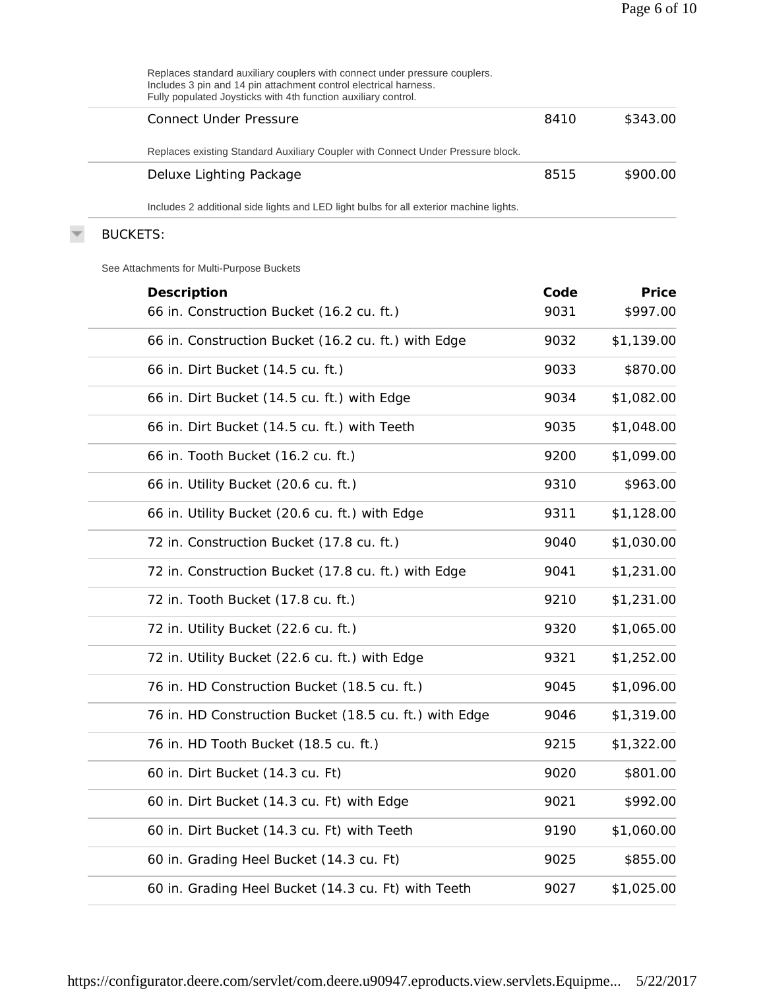| Replaces standard auxiliary couplers with connect under pressure couplers.<br>Includes 3 pin and 14 pin attachment control electrical harness.<br>Fully populated Joysticks with 4th function auxiliary control. |      |            |
|------------------------------------------------------------------------------------------------------------------------------------------------------------------------------------------------------------------|------|------------|
| <b>Connect Under Pressure</b>                                                                                                                                                                                    | 8410 | \$343.00   |
| Replaces existing Standard Auxiliary Coupler with Connect Under Pressure block.                                                                                                                                  |      |            |
| Deluxe Lighting Package                                                                                                                                                                                          | 8515 | \$900.00   |
| Includes 2 additional side lights and LED light bulbs for all exterior machine lights.                                                                                                                           |      |            |
| <b>BUCKETS:</b>                                                                                                                                                                                                  |      |            |
| See Attachments for Multi-Purpose Buckets                                                                                                                                                                        |      |            |
| Description                                                                                                                                                                                                      | Code | Price      |
| 66 in. Construction Bucket (16.2 cu. ft.)                                                                                                                                                                        | 9031 | \$997.00   |
| 66 in. Construction Bucket (16.2 cu. ft.) with Edge                                                                                                                                                              | 9032 | \$1,139.00 |
| 66 in. Dirt Bucket (14.5 cu. ft.)                                                                                                                                                                                | 9033 | \$870.00   |
| 66 in. Dirt Bucket (14.5 cu. ft.) with Edge                                                                                                                                                                      | 9034 | \$1,082.00 |
| 66 in. Dirt Bucket (14.5 cu. ft.) with Teeth                                                                                                                                                                     | 9035 | \$1,048.00 |
| 66 in. Tooth Bucket (16.2 cu. ft.)                                                                                                                                                                               | 9200 | \$1,099.00 |
| 66 in. Utility Bucket (20.6 cu. ft.)                                                                                                                                                                             | 9310 | \$963.00   |
| 66 in. Utility Bucket (20.6 cu. ft.) with Edge                                                                                                                                                                   | 9311 | \$1,128.00 |
| 72 in. Construction Bucket (17.8 cu. ft.)                                                                                                                                                                        | 9040 | \$1,030.00 |
| 72 in. Construction Bucket (17.8 cu. ft.) with Edge                                                                                                                                                              | 9041 | \$1,231.00 |
| 72 in. Tooth Bucket (17.8 cu. ft.)                                                                                                                                                                               | 9210 | \$1,231.00 |
| 72 in. Utility Bucket (22.6 cu. ft.)                                                                                                                                                                             | 9320 | \$1,065.00 |
| 72 in. Utility Bucket (22.6 cu. ft.) with Edge                                                                                                                                                                   | 9321 | \$1,252.00 |
| 76 in. HD Construction Bucket (18.5 cu. ft.)                                                                                                                                                                     | 9045 | \$1,096.00 |
| 76 in. HD Construction Bucket (18.5 cu. ft.) with Edge                                                                                                                                                           | 9046 | \$1,319.00 |
| 76 in. HD Tooth Bucket (18.5 cu. ft.)                                                                                                                                                                            | 9215 | \$1,322.00 |
| 60 in. Dirt Bucket (14.3 cu. Ft)                                                                                                                                                                                 | 9020 | \$801.00   |
| 60 in. Dirt Bucket (14.3 cu. Ft) with Edge                                                                                                                                                                       | 9021 | \$992.00   |
| 60 in. Dirt Bucket (14.3 cu. Ft) with Teeth                                                                                                                                                                      | 9190 | \$1,060.00 |
| 60 in. Grading Heel Bucket (14.3 cu. Ft)                                                                                                                                                                         | 9025 | \$855.00   |
| 60 in. Grading Heel Bucket (14.3 cu. Ft) with Teeth                                                                                                                                                              | 9027 | \$1,025.00 |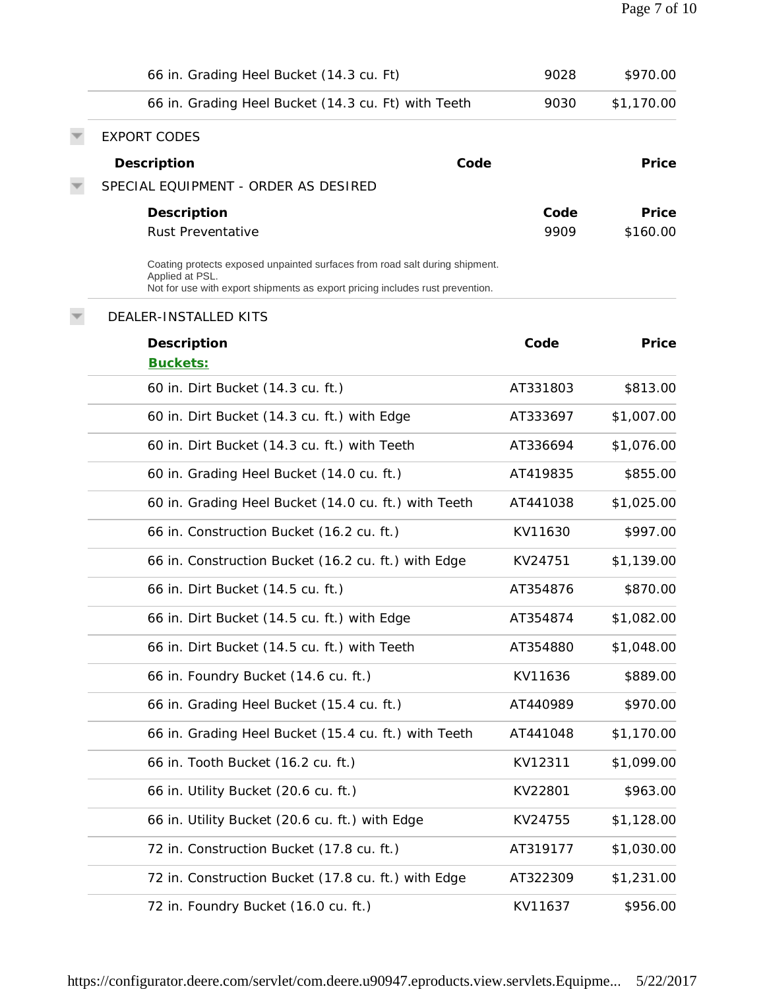| 66 in. Grading Heel Bucket (14.3 cu. Ft)                                                                                                                                        | 9028     | \$970.00   |
|---------------------------------------------------------------------------------------------------------------------------------------------------------------------------------|----------|------------|
| 66 in. Grading Heel Bucket (14.3 cu. Ft) with Teeth                                                                                                                             | 9030     | \$1,170.00 |
| <b>EXPORT CODES</b>                                                                                                                                                             |          |            |
| Description<br>Code                                                                                                                                                             |          | Price      |
| SPECIAL EQUIPMENT - ORDER AS DESIRED                                                                                                                                            |          |            |
| Description                                                                                                                                                                     | Code     | Price      |
| <b>Rust Preventative</b>                                                                                                                                                        | 9909     | \$160.00   |
| Coating protects exposed unpainted surfaces from road salt during shipment.<br>Applied at PSL.<br>Not for use with export shipments as export pricing includes rust prevention. |          |            |
| DEALER-INSTALLED KITS                                                                                                                                                           |          |            |
| Description                                                                                                                                                                     | Code     | Price      |
| Buckets:                                                                                                                                                                        |          |            |
| 60 in. Dirt Bucket (14.3 cu. ft.)                                                                                                                                               | AT331803 | \$813.00   |
| 60 in. Dirt Bucket (14.3 cu. ft.) with Edge                                                                                                                                     | AT333697 | \$1,007.00 |
| 60 in. Dirt Bucket (14.3 cu. ft.) with Teeth                                                                                                                                    | AT336694 | \$1,076.00 |
| 60 in. Grading Heel Bucket (14.0 cu. ft.)                                                                                                                                       | AT419835 | \$855.00   |
| 60 in. Grading Heel Bucket (14.0 cu. ft.) with Teeth                                                                                                                            | AT441038 | \$1,025.00 |
| 66 in. Construction Bucket (16.2 cu. ft.)                                                                                                                                       | KV11630  | \$997.00   |
| 66 in. Construction Bucket (16.2 cu. ft.) with Edge                                                                                                                             | KV24751  | \$1,139.00 |
| 66 in. Dirt Bucket (14.5 cu. ft.)                                                                                                                                               | AT354876 | \$870.00   |
| 66 in. Dirt Bucket (14.5 cu. ft.) with Edge                                                                                                                                     | AT354874 | \$1,082.00 |
| 66 in. Dirt Bucket (14.5 cu. ft.) with Teeth                                                                                                                                    | AT354880 | \$1,048.00 |
| 66 in. Foundry Bucket (14.6 cu. ft.)                                                                                                                                            | KV11636  | \$889.00   |
| 66 in. Grading Heel Bucket (15.4 cu. ft.)                                                                                                                                       | AT440989 | \$970.00   |
| 66 in. Grading Heel Bucket (15.4 cu. ft.) with Teeth                                                                                                                            | AT441048 | \$1,170.00 |
| 66 in. Tooth Bucket (16.2 cu. ft.)                                                                                                                                              | KV12311  | \$1,099.00 |
| 66 in. Utility Bucket (20.6 cu. ft.)                                                                                                                                            | KV22801  | \$963.00   |
| 66 in. Utility Bucket (20.6 cu. ft.) with Edge                                                                                                                                  | KV24755  | \$1,128.00 |
| 72 in. Construction Bucket (17.8 cu. ft.)                                                                                                                                       | AT319177 | \$1,030.00 |
| 72 in. Construction Bucket (17.8 cu. ft.) with Edge                                                                                                                             | AT322309 | \$1,231.00 |
| 72 in. Foundry Bucket (16.0 cu. ft.)                                                                                                                                            | KV11637  | \$956.00   |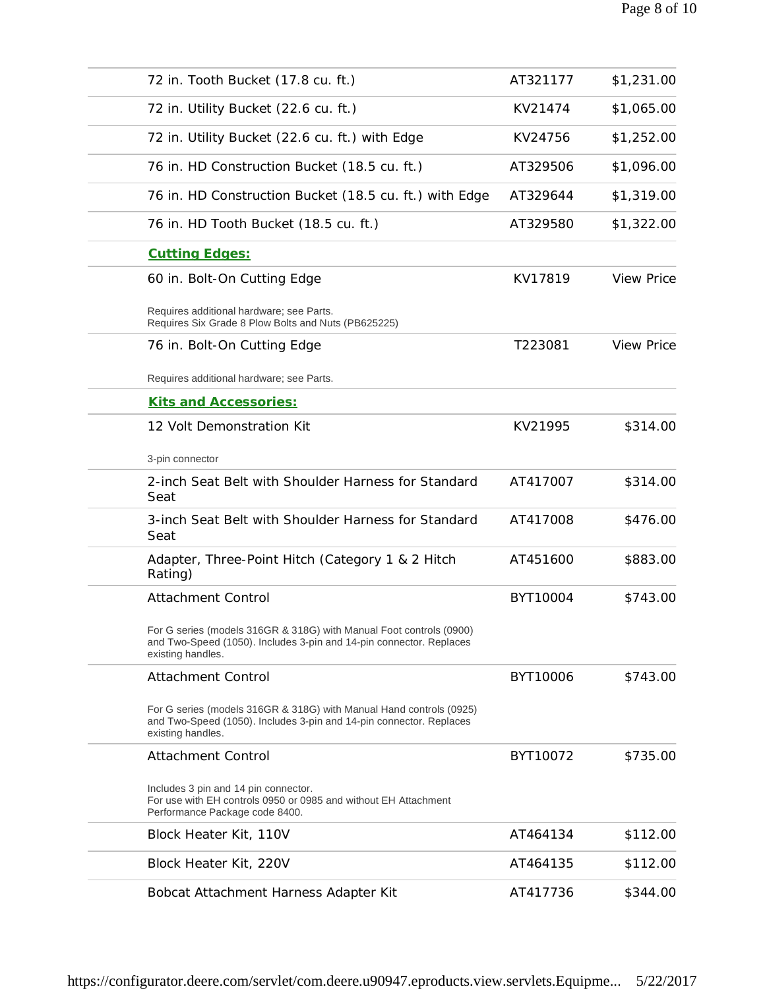| AT321177<br>\$1,231.00<br>KV21474<br>\$1,065.00 |
|-------------------------------------------------|
|                                                 |
|                                                 |
| KV24756<br>\$1,252.00                           |
| AT329506<br>\$1,096.00                          |
| \$1,319.00<br>AT329644                          |
| AT329580<br>\$1,322.00                          |
|                                                 |
| KV17819<br><b>View Price</b>                    |
|                                                 |
| <b>View Price</b>                               |
|                                                 |
|                                                 |
| KV21995<br>\$314.00                             |
|                                                 |
| AT417007<br>\$314.00                            |
| AT417008<br>\$476.00                            |
| \$883.00<br>AT451600                            |
| BYT10004<br>\$743.00                            |
|                                                 |
| BYT10006<br>\$743.00                            |
|                                                 |
| BYT10072<br>\$735.00                            |
|                                                 |
| \$112.00<br>AT464134                            |
| AT464135<br>\$112.00                            |
|                                                 |
|                                                 |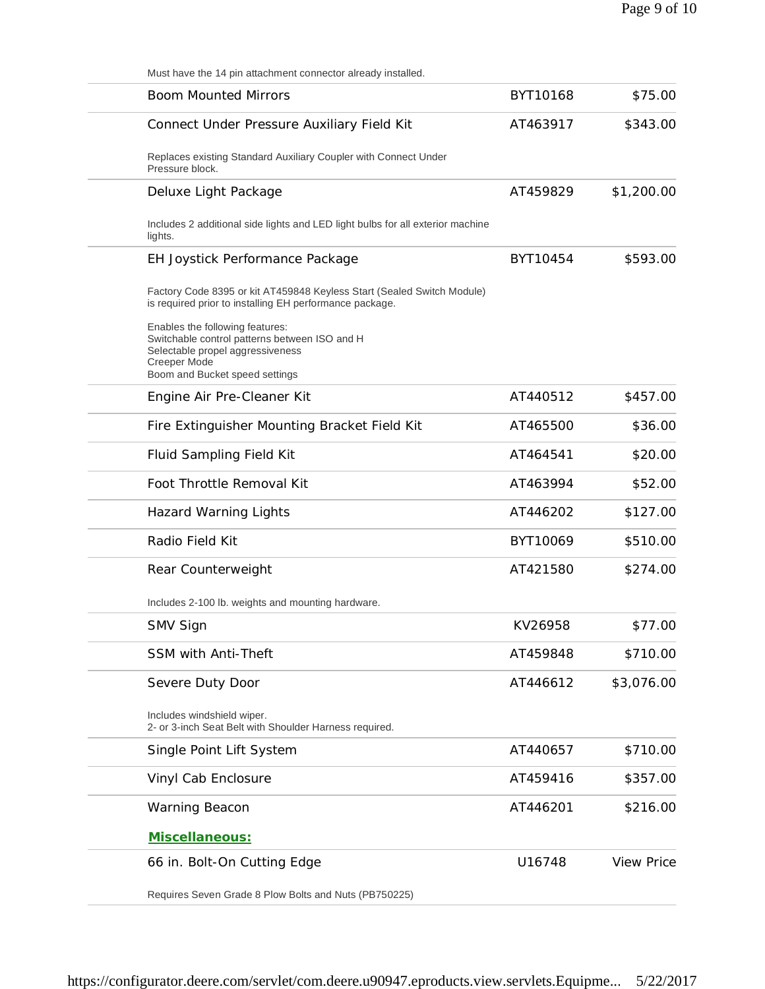|                   |          | Must have the 14 pin attachment connector already installed.                                                                                |
|-------------------|----------|---------------------------------------------------------------------------------------------------------------------------------------------|
| \$75.00           | BYT10168 | <b>Boom Mounted Mirrors</b>                                                                                                                 |
| \$343.00          | AT463917 | Connect Under Pressure Auxiliary Field Kit                                                                                                  |
|                   |          | Replaces existing Standard Auxiliary Coupler with Connect Under<br>Pressure block.                                                          |
| \$1,200.00        | AT459829 | Deluxe Light Package                                                                                                                        |
|                   |          | Includes 2 additional side lights and LED light bulbs for all exterior machine<br>lights.                                                   |
| \$593.00          | BYT10454 | EH Joystick Performance Package                                                                                                             |
|                   |          | Factory Code 8395 or kit AT459848 Keyless Start (Sealed Switch Module)<br>is required prior to installing EH performance package.           |
|                   |          | Enables the following features:<br>Switchable control patterns between ISO and H<br>Selectable propel aggressiveness<br><b>Creeper Mode</b> |
|                   |          | Boom and Bucket speed settings                                                                                                              |
| \$457.00          | AT440512 | Engine Air Pre-Cleaner Kit                                                                                                                  |
| \$36.00           | AT465500 | Fire Extinguisher Mounting Bracket Field Kit                                                                                                |
| \$20.00           | AT464541 | Fluid Sampling Field Kit                                                                                                                    |
| \$52.00           | AT463994 | Foot Throttle Removal Kit                                                                                                                   |
| \$127.00          | AT446202 | <b>Hazard Warning Lights</b>                                                                                                                |
| \$510.00          | BYT10069 | Radio Field Kit                                                                                                                             |
| \$274.00          | AT421580 | Rear Counterweight                                                                                                                          |
|                   |          | Includes 2-100 lb. weights and mounting hardware.                                                                                           |
| \$77.00           | KV26958  | SMV Sign                                                                                                                                    |
| \$710.00          | AT459848 | <b>SSM with Anti-Theft</b>                                                                                                                  |
| \$3,076.00        | AT446612 | Severe Duty Door                                                                                                                            |
|                   |          | Includes windshield wiper.<br>2- or 3-inch Seat Belt with Shoulder Harness required.                                                        |
| \$710.00          | AT440657 | Single Point Lift System                                                                                                                    |
| \$357.00          | AT459416 | Vinyl Cab Enclosure                                                                                                                         |
| \$216.00          | AT446201 | Warning Beacon                                                                                                                              |
|                   |          | Miscellaneous:                                                                                                                              |
| <b>View Price</b> | U16748   | 66 in. Bolt-On Cutting Edge                                                                                                                 |
|                   |          | Requires Seven Grade 8 Plow Bolts and Nuts (PB750225)                                                                                       |